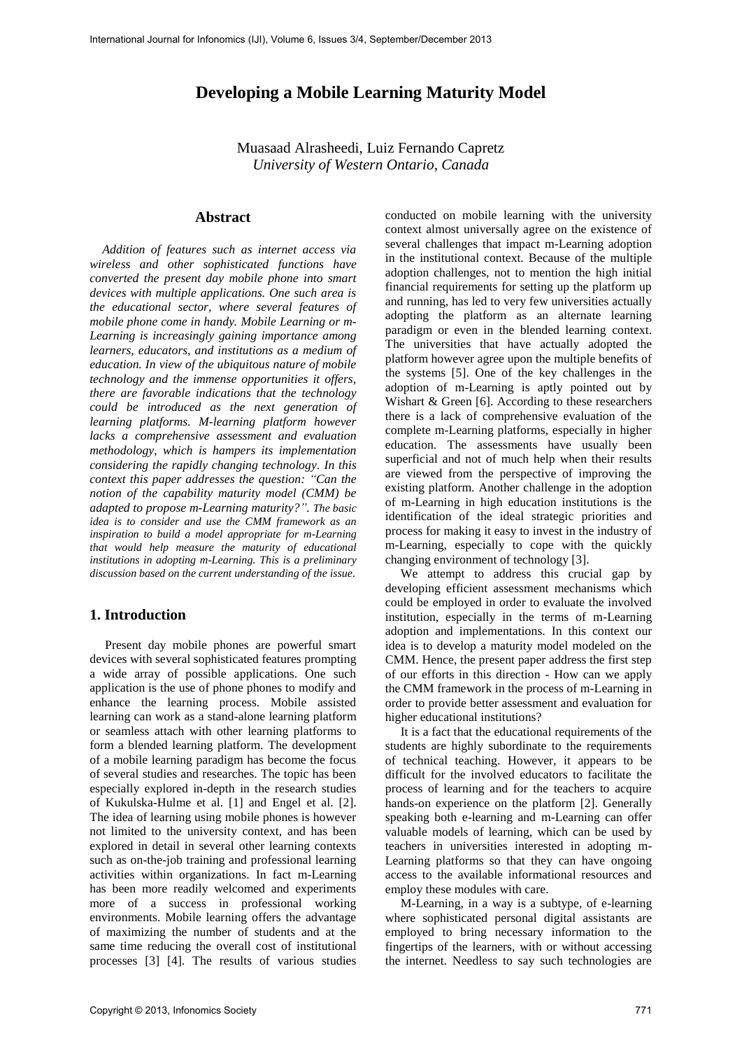# **Developing a Mobile Learning Maturity Model**

Muasaad Alrasheedi, Luiz Fernando Capretz *University of Western Ontario, Canada*

### **Abstract**

 *Addition of features such as internet access via wireless and other sophisticated functions have converted the present day mobile phone into smart devices with multiple applications. One such area is the educational sector, where several features of mobile phone come in handy. Mobile Learning or m-Learning is increasingly gaining importance among learners, educators, and institutions as a medium of education. In view of the ubiquitous nature of mobile technology and the immense opportunities it offers, there are favorable indications that the technology could be introduced as the next generation of learning platforms. M-learning platform however lacks a comprehensive assessment and evaluation methodology, which is hampers its implementation considering the rapidly changing technology. In this context this paper addresses the question: "Can the notion of the capability maturity model (CMM) be adapted to propose m-Learning maturity?". The basic idea is to consider and use the CMM framework as an inspiration to build a model appropriate for m-Learning that would help measure the maturity of educational institutions in adopting m-Learning. This is a preliminary discussion based on the current understanding of the issue.*

# **1. Introduction**

Present day mobile phones are powerful smart devices with several sophisticated features prompting a wide array of possible applications. One such application is the use of phone phones to modify and enhance the learning process. Mobile assisted learning can work as a stand-alone learning platform or seamless attach with other learning platforms to form a blended learning platform. The development of a mobile learning paradigm has become the focus of several studies and researches. The topic has been especially explored in-depth in the research studies of Kukulska-Hulme et al. [1] and Engel et al. [2]. The idea of learning using mobile phones is however not limited to the university context, and has been explored in detail in several other learning contexts such as on-the-job training and professional learning activities within organizations. In fact m-Learning has been more readily welcomed and experiments more of a success in professional working environments. Mobile learning offers the advantage of maximizing the number of students and at the same time reducing the overall cost of institutional processes [3] [4]. The results of various studies

conducted on mobile learning with the university context almost universally agree on the existence of several challenges that impact m-Learning adoption in the institutional context. Because of the multiple adoption challenges, not to mention the high initial financial requirements for setting up the platform up and running, has led to very few universities actually adopting the platform as an alternate learning paradigm or even in the blended learning context. The universities that have actually adopted the platform however agree upon the multiple benefits of the systems [5]. One of the key challenges in the adoption of m-Learning is aptly pointed out by Wishart & Green [6]. According to these researchers there is a lack of comprehensive evaluation of the complete m-Learning platforms, especially in higher education. The assessments have usually been superficial and not of much help when their results are viewed from the perspective of improving the existing platform. Another challenge in the adoption of m-Learning in high education institutions is the identification of the ideal strategic priorities and process for making it easy to invest in the industry of m-Learning, especially to cope with the quickly changing environment of technology [3].

We attempt to address this crucial gap by developing efficient assessment mechanisms which could be employed in order to evaluate the involved institution, especially in the terms of m-Learning adoption and implementations. In this context our idea is to develop a maturity model modeled on the CMM. Hence, the present paper address the first step of our efforts in this direction - How can we apply the CMM framework in the process of m-Learning in order to provide better assessment and evaluation for higher educational institutions?

It is a fact that the educational requirements of the students are highly subordinate to the requirements of technical teaching. However, it appears to be difficult for the involved educators to facilitate the process of learning and for the teachers to acquire hands-on experience on the platform [2]. Generally speaking both e-learning and m-Learning can offer valuable models of learning, which can be used by teachers in universities interested in adopting m-Learning platforms so that they can have ongoing access to the available informational resources and employ these modules with care.

M-Learning, in a way is a subtype, of e-learning where sophisticated personal digital assistants are employed to bring necessary information to the fingertips of the learners, with or without accessing the internet. Needless to say such technologies are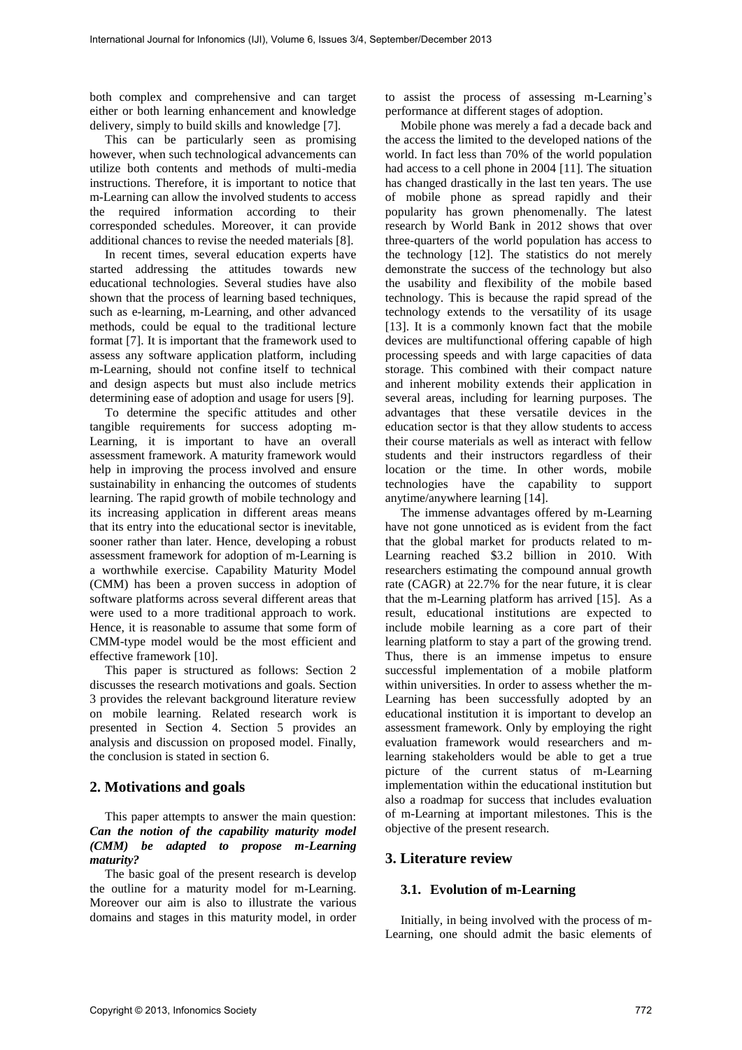both complex and comprehensive and can target either or both learning enhancement and knowledge delivery, simply to build skills and knowledge [7].

This can be particularly seen as promising however, when such technological advancements can utilize both contents and methods of multi-media instructions. Therefore, it is important to notice that m-Learning can allow the involved students to access the required information according to their corresponded schedules. Moreover, it can provide additional chances to revise the needed materials [8].

In recent times, several education experts have started addressing the attitudes towards new educational technologies. Several studies have also shown that the process of learning based techniques, such as e-learning, m-Learning, and other advanced methods, could be equal to the traditional lecture format [7]. It is important that the framework used to assess any software application platform, including m-Learning, should not confine itself to technical and design aspects but must also include metrics determining ease of adoption and usage for users [9].

To determine the specific attitudes and other tangible requirements for success adopting m-Learning, it is important to have an overall assessment framework. A maturity framework would help in improving the process involved and ensure sustainability in enhancing the outcomes of students learning. The rapid growth of mobile technology and its increasing application in different areas means that its entry into the educational sector is inevitable, sooner rather than later. Hence, developing a robust assessment framework for adoption of m-Learning is a worthwhile exercise. Capability Maturity Model (CMM) has been a proven success in adoption of software platforms across several different areas that were used to a more traditional approach to work. Hence, it is reasonable to assume that some form of CMM-type model would be the most efficient and effective framework [10].

This paper is structured as follows: Section 2 discusses the research motivations and goals. Section 3 provides the relevant background literature review on mobile learning. Related research work is presented in Section 4. Section 5 provides an analysis and discussion on proposed model. Finally, the conclusion is stated in section 6.

# **2. Motivations and goals**

This paper attempts to answer the main question: *Can the notion of the capability maturity model (CMM) be adapted to propose m-Learning maturity?*

The basic goal of the present research is develop the outline for a maturity model for m-Learning. Moreover our aim is also to illustrate the various domains and stages in this maturity model, in order

to assist the process of assessing m-Learning's performance at different stages of adoption.

Mobile phone was merely a fad a decade back and the access the limited to the developed nations of the world. In fact less than 70% of the world population had access to a cell phone in 2004 [11]. The situation has changed drastically in the last ten years. The use of mobile phone as spread rapidly and their popularity has grown phenomenally. The latest research by World Bank in 2012 shows that over three-quarters of the world population has access to the technology [12]. The statistics do not merely demonstrate the success of the technology but also the usability and flexibility of the mobile based technology. This is because the rapid spread of the technology extends to the versatility of its usage [13]. It is a commonly known fact that the mobile devices are multifunctional offering capable of high processing speeds and with large capacities of data storage. This combined with their compact nature and inherent mobility extends their application in several areas, including for learning purposes. The advantages that these versatile devices in the education sector is that they allow students to access their course materials as well as interact with fellow students and their instructors regardless of their location or the time. In other words, mobile technologies have the capability to support anytime/anywhere learning [14].

The immense advantages offered by m-Learning have not gone unnoticed as is evident from the fact that the global market for products related to m-Learning reached \$3.2 billion in 2010. With researchers estimating the compound annual growth rate (CAGR) at 22.7% for the near future, it is clear that the m-Learning platform has arrived [15]. As a result, educational institutions are expected to include mobile learning as a core part of their learning platform to stay a part of the growing trend. Thus, there is an immense impetus to ensure successful implementation of a mobile platform within universities. In order to assess whether the m-Learning has been successfully adopted by an educational institution it is important to develop an assessment framework. Only by employing the right evaluation framework would researchers and mlearning stakeholders would be able to get a true picture of the current status of m-Learning implementation within the educational institution but also a roadmap for success that includes evaluation of m-Learning at important milestones. This is the objective of the present research.

# **3. Literature review**

#### **3.1. Evolution of m-Learning**

Initially, in being involved with the process of m-Learning, one should admit the basic elements of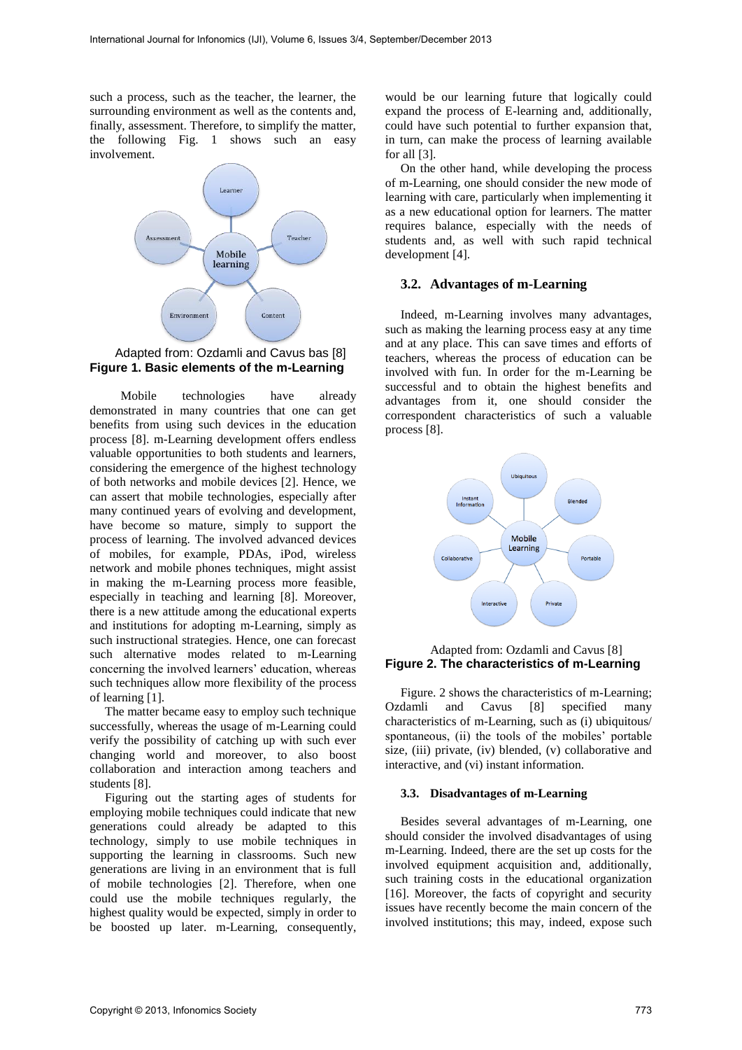such a process, such as the teacher, the learner, the surrounding environment as well as the contents and, finally, assessment. Therefore, to simplify the matter, the following Fig. 1 shows such an easy involvement.



### Adapted from: Ozdamli and Cavus bas [8] **Figure 1. Basic elements of the m-Learning**

 Mobile technologies have already demonstrated in many countries that one can get benefits from using such devices in the education process [8]. m-Learning development offers endless valuable opportunities to both students and learners, considering the emergence of the highest technology of both networks and mobile devices [2]. Hence, we can assert that mobile technologies, especially after many continued years of evolving and development, have become so mature, simply to support the process of learning. The involved advanced devices of mobiles, for example, PDAs, iPod, wireless network and mobile phones techniques, might assist in making the m-Learning process more feasible, especially in teaching and learning [8]. Moreover, there is a new attitude among the educational experts and institutions for adopting m-Learning, simply as such instructional strategies. Hence, one can forecast such alternative modes related to m-Learning concerning the involved learners' education, whereas such techniques allow more flexibility of the process of learning [1].

The matter became easy to employ such technique successfully, whereas the usage of m-Learning could verify the possibility of catching up with such ever changing world and moreover, to also boost collaboration and interaction among teachers and students [8].

Figuring out the starting ages of students for employing mobile techniques could indicate that new generations could already be adapted to this technology, simply to use mobile techniques in supporting the learning in classrooms. Such new generations are living in an environment that is full of mobile technologies [2]. Therefore, when one could use the mobile techniques regularly, the highest quality would be expected, simply in order to be boosted up later. m-Learning, consequently,

would be our learning future that logically could expand the process of E-learning and, additionally, could have such potential to further expansion that, in turn, can make the process of learning available for all [3].

On the other hand, while developing the process of m-Learning, one should consider the new mode of learning with care, particularly when implementing it as a new educational option for learners. The matter requires balance, especially with the needs of students and, as well with such rapid technical development [4].

### **3.2. Advantages of m-Learning**

Indeed, m-Learning involves many advantages, such as making the learning process easy at any time and at any place. This can save times and efforts of teachers, whereas the process of education can be involved with fun. In order for the m-Learning be successful and to obtain the highest benefits and advantages from it, one should consider the correspondent characteristics of such a valuable process [8].



## Adapted from: Ozdamli and Cavus [8] **Figure 2. The characteristics of m-Learning**

Figure. 2 shows the characteristics of m-Learning; Ozdamli and Cavus [8] specified many characteristics of m-Learning, such as (i) ubiquitous/ spontaneous, (ii) the tools of the mobiles' portable size, (iii) private, (iv) blended, (v) collaborative and interactive, and (vi) instant information.

#### **3.3. Disadvantages of m-Learning**

Besides several advantages of m-Learning, one should consider the involved disadvantages of using m-Learning. Indeed, there are the set up costs for the involved equipment acquisition and, additionally, such training costs in the educational organization [16]. Moreover, the facts of copyright and security issues have recently become the main concern of the involved institutions; this may, indeed, expose such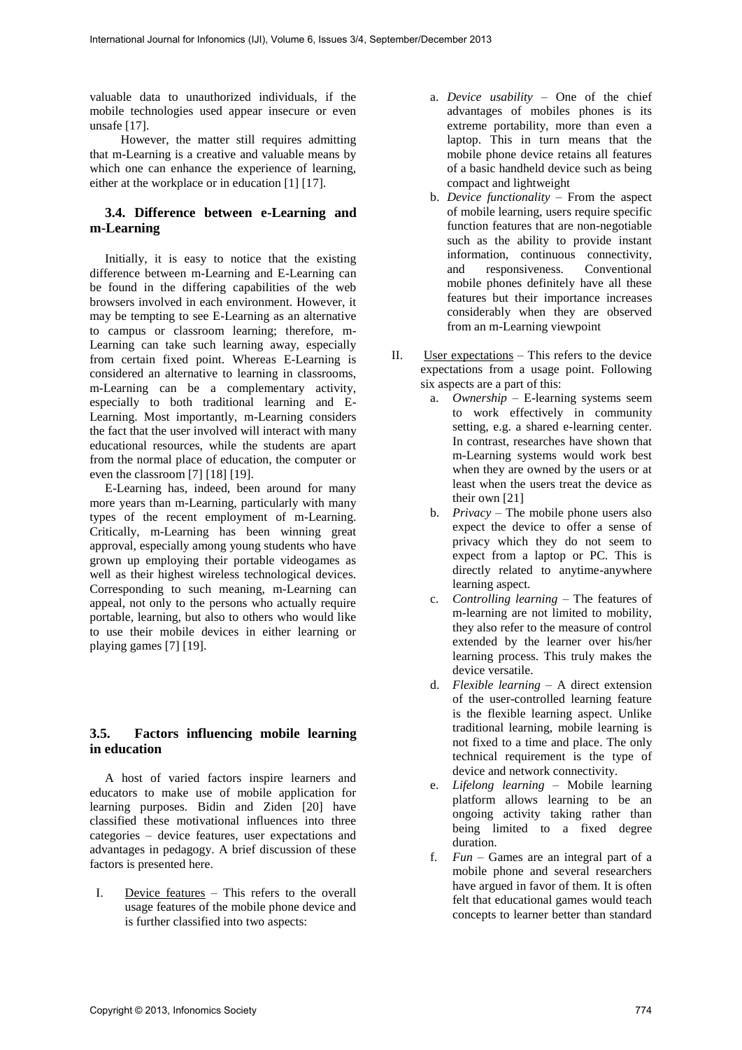valuable data to unauthorized individuals, if the mobile technologies used appear insecure or even unsafe [17].

 However, the matter still requires admitting that m-Learning is a creative and valuable means by which one can enhance the experience of learning, either at the workplace or in education [1] [17].

# **3.4. Difference between e-Learning and m-Learning**

Initially, it is easy to notice that the existing difference between m-Learning and E-Learning can be found in the differing capabilities of the web browsers involved in each environment. However, it may be tempting to see E-Learning as an alternative to campus or classroom learning; therefore, m-Learning can take such learning away, especially from certain fixed point. Whereas E-Learning is considered an alternative to learning in classrooms, m-Learning can be a complementary activity, especially to both traditional learning and E-Learning. Most importantly, m-Learning considers the fact that the user involved will interact with many educational resources, while the students are apart from the normal place of education, the computer or even the classroom [7] [18] [19].

E-Learning has, indeed, been around for many more years than m-Learning, particularly with many types of the recent employment of m-Learning. Critically, m-Learning has been winning great approval, especially among young students who have grown up employing their portable videogames as well as their highest wireless technological devices. Corresponding to such meaning, m-Learning can appeal, not only to the persons who actually require portable, learning, but also to others who would like to use their mobile devices in either learning or playing games [7] [19].

# **3.5. Factors influencing mobile learning in education**

A host of varied factors inspire learners and educators to make use of mobile application for learning purposes. Bidin and Ziden [20] have classified these motivational influences into three categories – device features, user expectations and advantages in pedagogy. A brief discussion of these factors is presented here.

I. Device features – This refers to the overall usage features of the mobile phone device and is further classified into two aspects:

- a. *Device usability* One of the chief advantages of mobiles phones is its extreme portability, more than even a laptop. This in turn means that the mobile phone device retains all features of a basic handheld device such as being compact and lightweight
- b. *Device functionality*  From the aspect of mobile learning, users require specific function features that are non-negotiable such as the ability to provide instant information, continuous connectivity, and responsiveness. Conventional mobile phones definitely have all these features but their importance increases considerably when they are observed from an m-Learning viewpoint
- II. User expectations This refers to the device expectations from a usage point. Following six aspects are a part of this:
	- a. *Ownership* E-learning systems seem to work effectively in community setting, e.g. a shared e-learning center. In contrast, researches have shown that m-Learning systems would work best when they are owned by the users or at least when the users treat the device as their own [21]
	- b. *Privacy*  The mobile phone users also expect the device to offer a sense of privacy which they do not seem to expect from a laptop or PC. This is directly related to anytime-anywhere learning aspect.
	- c. *Controlling learning*  The features of m-learning are not limited to mobility, they also refer to the measure of control extended by the learner over his/her learning process. This truly makes the device versatile.
	- d. *Flexible learning*  A direct extension of the user-controlled learning feature is the flexible learning aspect. Unlike traditional learning, mobile learning is not fixed to a time and place. The only technical requirement is the type of device and network connectivity.
	- e. *Lifelong learning –* Mobile learning platform allows learning to be an ongoing activity taking rather than being limited to a fixed degree duration.
	- f. *Fun –* Games are an integral part of a mobile phone and several researchers have argued in favor of them. It is often felt that educational games would teach concepts to learner better than standard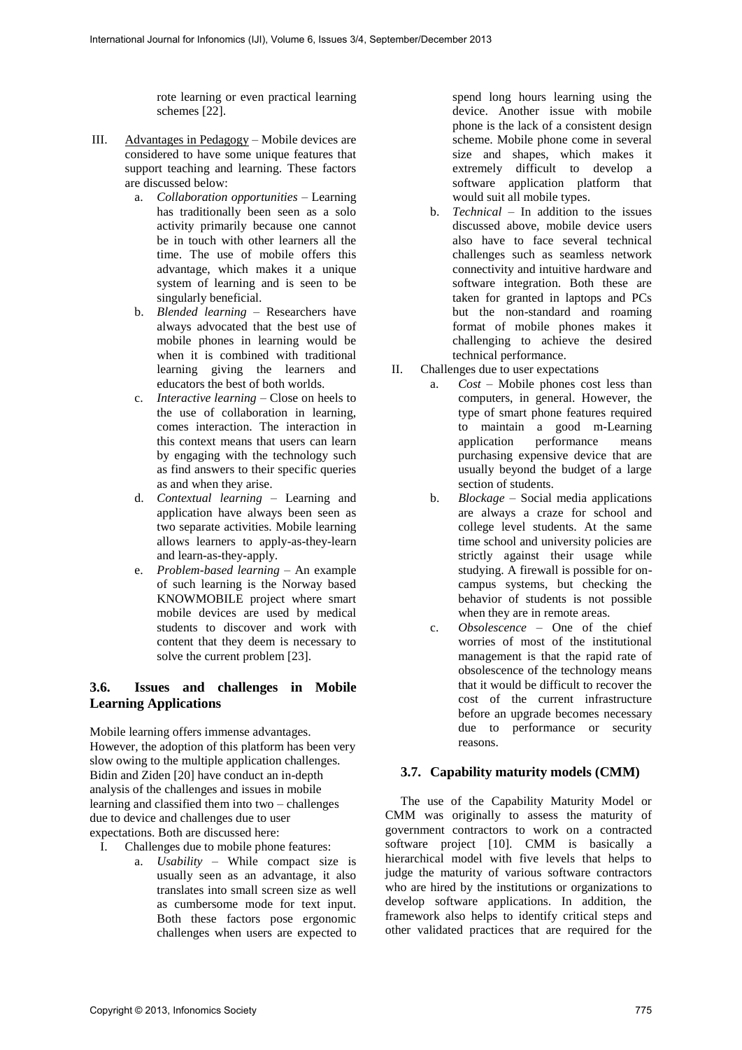rote learning or even practical learning schemes [22].

- III. Advantages in Pedagogy Mobile devices are considered to have some unique features that support teaching and learning. These factors are discussed below:
	- a. *Collaboration opportunities* Learning has traditionally been seen as a solo activity primarily because one cannot be in touch with other learners all the time. The use of mobile offers this advantage, which makes it a unique system of learning and is seen to be singularly beneficial.
	- b. *Blended learning*  Researchers have always advocated that the best use of mobile phones in learning would be when it is combined with traditional learning giving the learners and educators the best of both worlds.
	- c. *Interactive learning*  Close on heels to the use of collaboration in learning, comes interaction. The interaction in this context means that users can learn by engaging with the technology such as find answers to their specific queries as and when they arise.
	- d. *Contextual learning*  Learning and application have always been seen as two separate activities. Mobile learning allows learners to apply-as-they-learn and learn-as-they-apply.
	- e. *Problem-based learning*  An example of such learning is the Norway based KNOWMOBILE project where smart mobile devices are used by medical students to discover and work with content that they deem is necessary to solve the current problem [23].

# **3.6. Issues and challenges in Mobile Learning Applications**

Mobile learning offers immense advantages. However, the adoption of this platform has been very slow owing to the multiple application challenges. Bidin and Ziden [20] have conduct an in-depth analysis of the challenges and issues in mobile learning and classified them into two – challenges due to device and challenges due to user expectations. Both are discussed here:

- I. Challenges due to mobile phone features:
	- a. *Usability* While compact size is usually seen as an advantage, it also translates into small screen size as well as cumbersome mode for text input. Both these factors pose ergonomic challenges when users are expected to

spend long hours learning using the device. Another issue with mobile phone is the lack of a consistent design scheme. Mobile phone come in several size and shapes, which makes it extremely difficult to develop a software application platform that would suit all mobile types.

- b. *Technical*  In addition to the issues discussed above, mobile device users also have to face several technical challenges such as seamless network connectivity and intuitive hardware and software integration. Both these are taken for granted in laptops and PCs but the non-standard and roaming format of mobile phones makes it challenging to achieve the desired technical performance.
- II. Challenges due to user expectations
	- a. *Cost* Mobile phones cost less than computers, in general. However, the type of smart phone features required to maintain a good m-Learning application performance means purchasing expensive device that are usually beyond the budget of a large section of students.
		- b. *Blockage*  Social media applications are always a craze for school and college level students. At the same time school and university policies are strictly against their usage while studying. A firewall is possible for oncampus systems, but checking the behavior of students is not possible when they are in remote areas.
		- c. *Obsolescence*  One of the chief worries of most of the institutional management is that the rapid rate of obsolescence of the technology means that it would be difficult to recover the cost of the current infrastructure before an upgrade becomes necessary due to performance or security reasons.

# **3.7. Capability maturity models (CMM)**

The use of the Capability Maturity Model or CMM was originally to assess the maturity of government contractors to work on a contracted software project [10]. CMM is basically a hierarchical model with five levels that helps to judge the maturity of various software contractors who are hired by the institutions or organizations to develop software applications. In addition, the framework also helps to identify critical steps and other validated practices that are required for the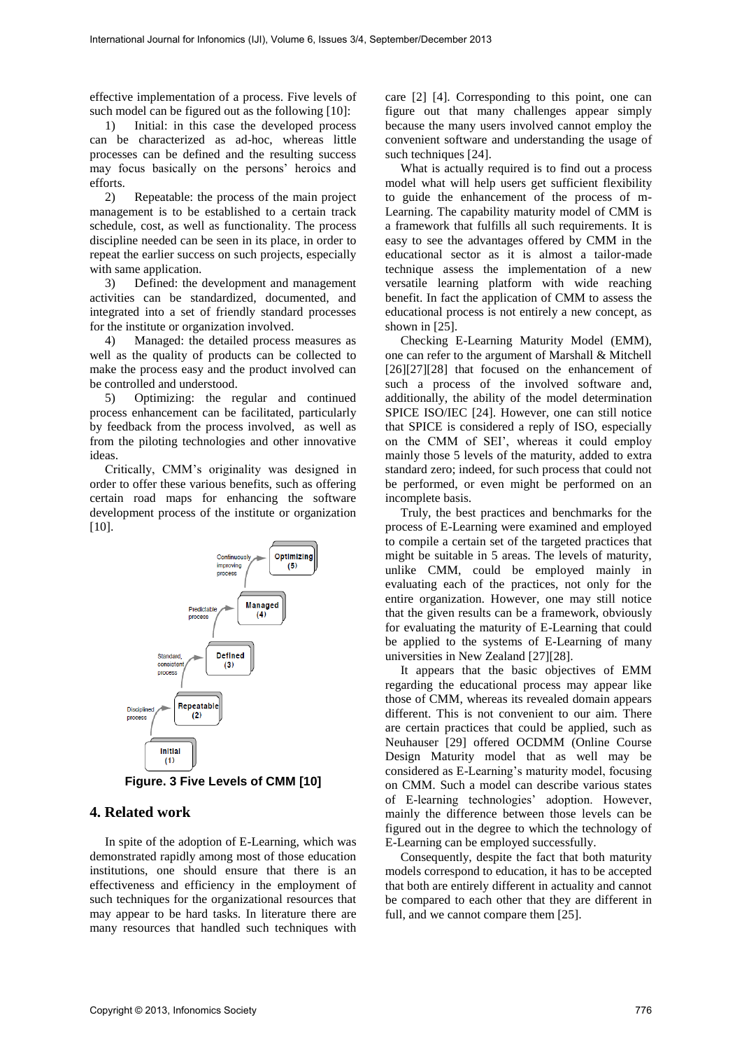effective implementation of a process. Five levels of such model can be figured out as the following [10]:

1) Initial: in this case the developed process can be characterized as ad-hoc, whereas little processes can be defined and the resulting success may focus basically on the persons' heroics and efforts.<br> $2)$ 

2) Repeatable: the process of the main project management is to be established to a certain track schedule, cost, as well as functionality. The process discipline needed can be seen in its place, in order to repeat the earlier success on such projects, especially with same application.

3) Defined: the development and management activities can be standardized, documented, and integrated into a set of friendly standard processes for the institute or organization involved.

4) Managed: the detailed process measures as well as the quality of products can be collected to make the process easy and the product involved can be controlled and understood.

5) Optimizing: the regular and continued process enhancement can be facilitated, particularly by feedback from the process involved, as well as from the piloting technologies and other innovative ideas.

Critically, CMM's originality was designed in order to offer these various benefits, such as offering certain road maps for enhancing the software development process of the institute or organization  $[10]$ .



**Figure. 3 Five Levels of CMM [10]** 

# **4. Related work**

In spite of the adoption of E-Learning, which was demonstrated rapidly among most of those education institutions, one should ensure that there is an effectiveness and efficiency in the employment of such techniques for the organizational resources that may appear to be hard tasks. In literature there are many resources that handled such techniques with

care [2] [4]. Corresponding to this point, one can figure out that many challenges appear simply because the many users involved cannot employ the convenient software and understanding the usage of such techniques [24].

What is actually required is to find out a process model what will help users get sufficient flexibility to guide the enhancement of the process of m-Learning. The capability maturity model of CMM is a framework that fulfills all such requirements. It is easy to see the advantages offered by CMM in the educational sector as it is almost a tailor-made technique assess the implementation of a new versatile learning platform with wide reaching benefit. In fact the application of CMM to assess the educational process is not entirely a new concept, as shown in [25].

Checking E-Learning Maturity Model (EMM), one can refer to the argument of Marshall & Mitchell [26][27][28] that focused on the enhancement of such a process of the involved software and, additionally, the ability of the model determination SPICE ISO/IEC [24]. However, one can still notice that SPICE is considered a reply of ISO, especially on the CMM of SEI', whereas it could employ mainly those 5 levels of the maturity, added to extra standard zero; indeed, for such process that could not be performed, or even might be performed on an incomplete basis.

Truly, the best practices and benchmarks for the process of E-Learning were examined and employed to compile a certain set of the targeted practices that might be suitable in 5 areas. The levels of maturity, unlike CMM, could be employed mainly in evaluating each of the practices, not only for the entire organization. However, one may still notice that the given results can be a framework, obviously for evaluating the maturity of E-Learning that could be applied to the systems of E-Learning of many universities in New Zealand [27][28].

It appears that the basic objectives of EMM regarding the educational process may appear like those of CMM, whereas its revealed domain appears different. This is not convenient to our aim. There are certain practices that could be applied, such as Neuhauser [29] offered OCDMM (Online Course Design Maturity model that as well may be considered as E-Learning's maturity model, focusing on CMM. Such a model can describe various states of E-learning technologies' adoption. However, mainly the difference between those levels can be figured out in the degree to which the technology of E-Learning can be employed successfully.

Consequently, despite the fact that both maturity models correspond to education, it has to be accepted that both are entirely different in actuality and cannot be compared to each other that they are different in full, and we cannot compare them [25].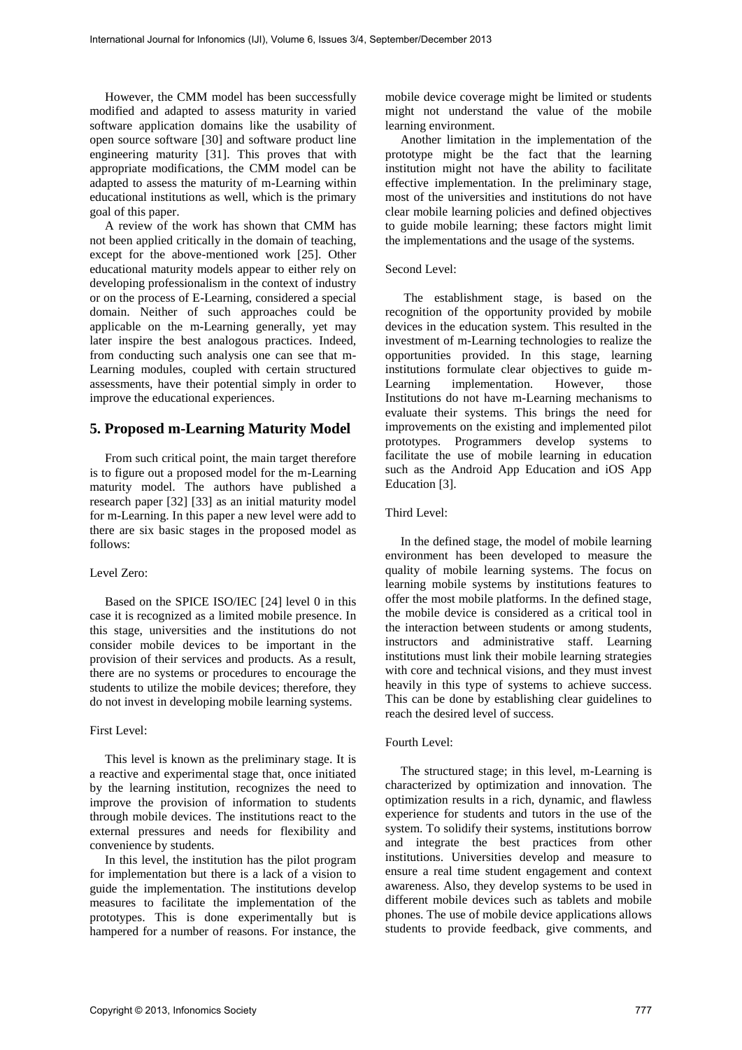However, the CMM model has been successfully modified and adapted to assess maturity in varied software application domains like the usability of open source software [30] and software product line engineering maturity [31]. This proves that with appropriate modifications, the CMM model can be adapted to assess the maturity of m-Learning within educational institutions as well, which is the primary goal of this paper.

A review of the work has shown that CMM has not been applied critically in the domain of teaching, except for the above-mentioned work [25]. Other educational maturity models appear to either rely on developing professionalism in the context of industry or on the process of E-Learning, considered a special domain. Neither of such approaches could be applicable on the m-Learning generally, yet may later inspire the best analogous practices. Indeed, from conducting such analysis one can see that m-Learning modules, coupled with certain structured assessments, have their potential simply in order to improve the educational experiences.

# **5. Proposed m-Learning Maturity Model**

From such critical point, the main target therefore is to figure out a proposed model for the m-Learning maturity model. The authors have published a research paper [32] [33] as an initial maturity model for m-Learning. In this paper a new level were add to there are six basic stages in the proposed model as follows:

#### Level Zero:

Based on the SPICE ISO/IEC [24] level 0 in this case it is recognized as a limited mobile presence. In this stage, universities and the institutions do not consider mobile devices to be important in the provision of their services and products. As a result, there are no systems or procedures to encourage the students to utilize the mobile devices; therefore, they do not invest in developing mobile learning systems.

#### First Level:

This level is known as the preliminary stage. It is a reactive and experimental stage that, once initiated by the learning institution, recognizes the need to improve the provision of information to students through mobile devices. The institutions react to the external pressures and needs for flexibility and convenience by students.

In this level, the institution has the pilot program for implementation but there is a lack of a vision to guide the implementation. The institutions develop measures to facilitate the implementation of the prototypes. This is done experimentally but is hampered for a number of reasons. For instance, the

mobile device coverage might be limited or students might not understand the value of the mobile learning environment.

Another limitation in the implementation of the prototype might be the fact that the learning institution might not have the ability to facilitate effective implementation. In the preliminary stage, most of the universities and institutions do not have clear mobile learning policies and defined objectives to guide mobile learning; these factors might limit the implementations and the usage of the systems.

#### Second Level:

 The establishment stage, is based on the recognition of the opportunity provided by mobile devices in the education system. This resulted in the investment of m-Learning technologies to realize the opportunities provided. In this stage, learning institutions formulate clear objectives to guide m-Learning implementation. However, those Institutions do not have m-Learning mechanisms to evaluate their systems. This brings the need for improvements on the existing and implemented pilot prototypes. Programmers develop systems to facilitate the use of mobile learning in education such as the Android App Education and iOS App Education [3].

### Third Level:

In the defined stage, the model of mobile learning environment has been developed to measure the quality of mobile learning systems. The focus on learning mobile systems by institutions features to offer the most mobile platforms. In the defined stage, the mobile device is considered as a critical tool in the interaction between students or among students, instructors and administrative staff. Learning institutions must link their mobile learning strategies with core and technical visions, and they must invest heavily in this type of systems to achieve success. This can be done by establishing clear guidelines to reach the desired level of success.

## Fourth Level:

The structured stage; in this level, m-Learning is characterized by optimization and innovation. The optimization results in a rich, dynamic, and flawless experience for students and tutors in the use of the system. To solidify their systems, institutions borrow and integrate the best practices from other institutions. Universities develop and measure to ensure a real time student engagement and context awareness. Also, they develop systems to be used in different mobile devices such as tablets and mobile phones. The use of mobile device applications allows students to provide feedback, give comments, and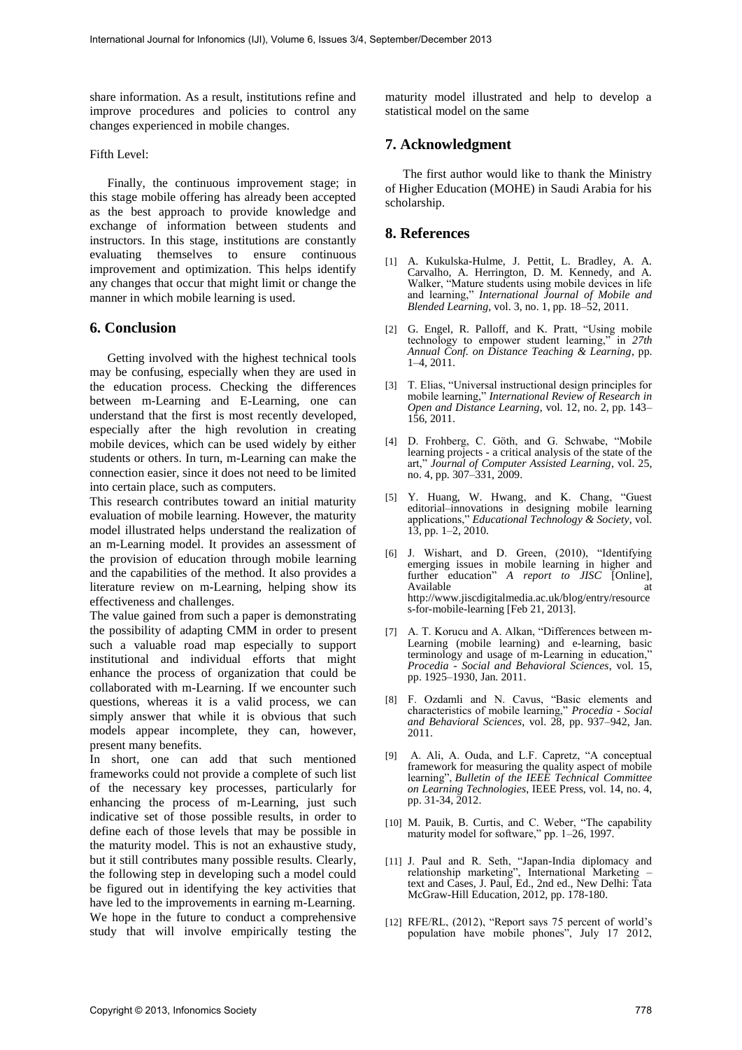share information. As a result, institutions refine and improve procedures and policies to control any changes experienced in mobile changes.

#### Fifth Level:

Finally, the continuous improvement stage; in this stage mobile offering has already been accepted as the best approach to provide knowledge and exchange of information between students and instructors. In this stage, institutions are constantly evaluating themselves to ensure continuous improvement and optimization. This helps identify any changes that occur that might limit or change the manner in which mobile learning is used.

### **6. Conclusion**

Getting involved with the highest technical tools may be confusing, especially when they are used in the education process. Checking the differences between m-Learning and E-Learning, one can understand that the first is most recently developed, especially after the high revolution in creating mobile devices, which can be used widely by either students or others. In turn, m-Learning can make the connection easier, since it does not need to be limited into certain place, such as computers.

This research contributes toward an initial maturity evaluation of mobile learning. However, the maturity model illustrated helps understand the realization of an m-Learning model. It provides an assessment of the provision of education through mobile learning and the capabilities of the method. It also provides a literature review on m-Learning, helping show its effectiveness and challenges.

The value gained from such a paper is demonstrating the possibility of adapting CMM in order to present such a valuable road map especially to support institutional and individual efforts that might enhance the process of organization that could be collaborated with m-Learning. If we encounter such questions, whereas it is a valid process, we can simply answer that while it is obvious that such models appear incomplete, they can, however, present many benefits.

In short, one can add that such mentioned frameworks could not provide a complete of such list of the necessary key processes, particularly for enhancing the process of m-Learning, just such indicative set of those possible results, in order to define each of those levels that may be possible in the maturity model. This is not an exhaustive study, but it still contributes many possible results. Clearly, the following step in developing such a model could be figured out in identifying the key activities that have led to the improvements in earning m-Learning. We hope in the future to conduct a comprehensive study that will involve empirically testing the

maturity model illustrated and help to develop a statistical model on the same

# **7. Acknowledgment**

The first author would like to thank the Ministry of Higher Education (MOHE) in Saudi Arabia for his scholarship.

### **8. References**

- [1] A. Kukulska-Hulme, J. Pettit, L. Bradley, A. A. Carvalho, A. Herrington, D. M. Kennedy, and A. Walker, "Mature students using mobile devices in life and learning," *International Journal of Mobile and Blended Learning*, vol. 3, no. 1, pp. 18–52, 2011.
- [2] G. Engel, R. Palloff, and K. Pratt, "Using mobile technology to empower student learning," in *27th Annual Conf. on Distance Teaching & Learning*, pp. 1–4, 2011.
- [3] T. Elias, "Universal instructional design principles for mobile learning," *International Review of Research in Open and Distance Learning*, vol. 12, no. 2, pp. 143– 156, 2011.
- [4] D. Frohberg, C. Göth, and G. Schwabe, "Mobile learning projects - a critical analysis of the state of the art," *Journal of Computer Assisted Learning*, vol. 25, no. 4, pp. 307–331, 2009.
- [5] Y. Huang, W. Hwang, and K. Chang, "Guest editorial–innovations in designing mobile learning applications," *Educational Technology & Society*, vol. 13, pp. 1–2, 2010.
- [6] J. Wishart, and D. Green, (2010), "Identifying emerging issues in mobile learning in higher and further education" *A report to JISC* [Online], Available http://www.jiscdigitalmedia.ac.uk/blog/entry/resource s-for-mobile-learning [Feb 21, 2013].
- [7] A. T. Korucu and A. Alkan, "Differences between m-Learning (mobile learning) and e-learning, basic terminology and usage of m-Learning in education," *Procedia - Social and Behavioral Sciences*, vol. 15, pp. 1925–1930, Jan. 2011.
- [8] F. Ozdamli and N. Cavus, "Basic elements and characteristics of mobile learning," *Procedia - Social and Behavioral Sciences*, vol. 28, pp. 937–942, Jan. 2011.
- [9] A. Ali, A. Ouda, and L.F. Capretz, "A conceptual framework for measuring the quality aspect of mobile learning", *Bulletin of the IEEE Technical Committee on Learning Technologies*, IEEE Press, vol. 14, no. 4, pp. 31-34, 2012.
- [10] M. Pauik, B. Curtis, and C. Weber, "The capability maturity model for software," pp. 1–26, 1997.
- [11] J. Paul and R. Seth, "Japan-India diplomacy and relationship marketing", International Marketing – text and Cases, J. Paul, Ed., 2nd ed., New Delhi: Tata McGraw-Hill Education, 2012, pp. 178-180.
- [12] RFE/RL, (2012), "Report says 75 percent of world's population have mobile phones", July 17 2012,